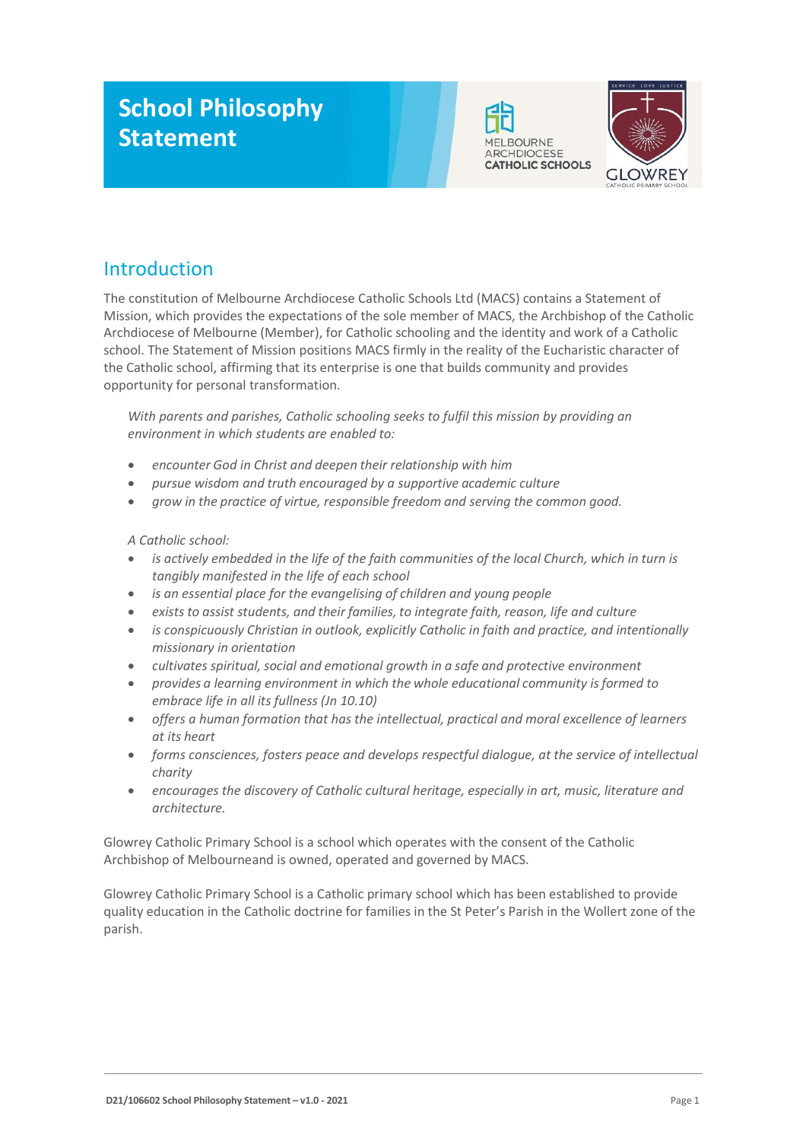# **School Philosophy Statement**





# Introduction

The constitution of Melbourne Archdiocese Catholic Schools Ltd (MACS) contains a Statement of Mission, which provides the expectations of the sole member of MACS, the Archbishop of the Catholic Archdiocese of Melbourne (Member), for Catholic schooling and the identity and work of a Catholic school. The Statement of Mission positions MACS firmly in the reality of the Eucharistic character of the Catholic school, affirming that its enterprise is one that builds community and provides opportunity for personal transformation.

*With parents and parishes, Catholic schooling seeks to fulfil this mission by providing an environment in which students are enabled to:*

- *encounter God in Christ and deepen their relationship with him*
- *pursue wisdom and truth encouraged by a supportive academic culture*
- *grow in the practice of virtue, responsible freedom and serving the common good.*

#### *A Catholic school:*

- *is actively embedded in the life of the faith communities of the local Church, which in turn is tangibly manifested in the life of each school*
- *is an essential place for the evangelising of children and young people*
- *exists to assist students, and their families, to integrate faith, reason, life and culture*
- *is conspicuously Christian in outlook, explicitly Catholic in faith and practice, and intentionally missionary in orientation*
- *cultivates spiritual, social and emotional growth in a safe and protective environment*
- *provides a learning environment in which the whole educational community isformed to embrace life in all its fullness (Jn 10.10)*
- *offers a human formation that has the intellectual, practical and moral excellence of learners at its heart*
- *forms consciences, fosters peace and develops respectful dialogue, at the service of intellectual charity*
- *encourages the discovery of Catholic cultural heritage, especially in art, music, literature and architecture.*

Glowrey Catholic Primary School is a school which operates with the consent of the Catholic Archbishop of Melbourneand is owned, operated and governed by MACS.

Glowrey Catholic Primary School is a Catholic primary school which has been established to provide quality education in the Catholic doctrine for families in the St Peter's Parish in the Wollert zone of the parish.